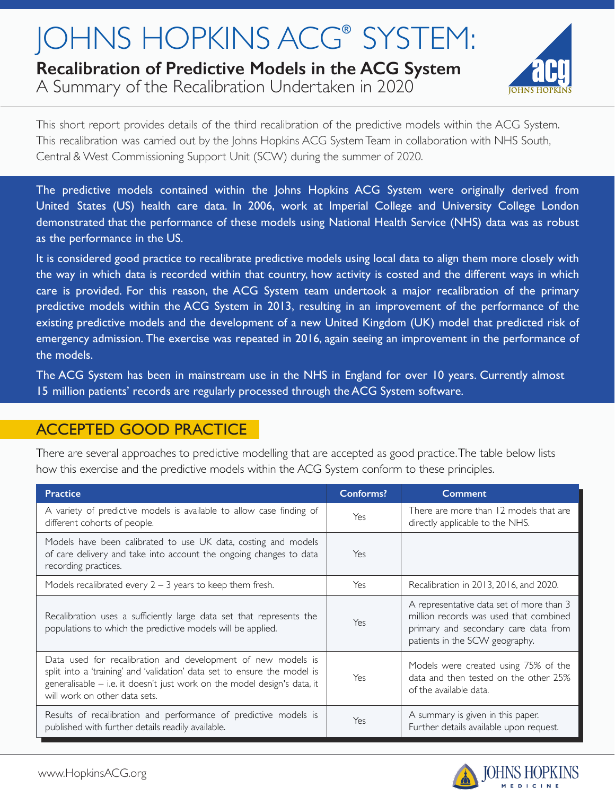# JOHNS HOPKINS ACG<sup>®</sup> SYSTEM:

## **Recalibration of Predictive Models in the ACG System**

A Summary of the Recalibration Undertaken in 2020



This short report provides details of the third recalibration of the predictive models within the ACG System. This recalibration was carried out by the Johns Hopkins ACG System Team in collaboration with NHS South, Central & West Commissioning Support Unit (SCW) during the summer of 2020.

The predictive models contained within the Johns Hopkins ACG System were originally derived from United States (US) health care data. In 2006, work at Imperial College and University College London demonstrated that the performance of these models using National Health Service (NHS) data was as robust as the performance in the US.

It is considered good practice to recalibrate predictive models using local data to align them more closely with the way in which data is recorded within that country, how activity is costed and the different ways in which care is provided. For this reason, the ACG System team undertook a major recalibration of the primary predictive models within the ACG System in 2013, resulting in an improvement of the performance of the existing predictive models and the development of a new United Kingdom (UK) model that predicted risk of emergency admission. The exercise was repeated in 2016, again seeing an improvement in the performance of the models.

The ACG System has been in mainstream use in the NHS in England for over 10 years. Currently almost 15 million patients' records are regularly processed through the ACG System software.

## ACCEPTED GOOD PRACTICE

There are several approaches to predictive modelling that are accepted as good practice. The table below lists how this exercise and the predictive models within the ACG System conform to these principles.

| <b>Practice</b>                                                                                                                                                                                                                                       | <b>Conforms?</b> | <b>Comment</b>                                                                                                                                               |
|-------------------------------------------------------------------------------------------------------------------------------------------------------------------------------------------------------------------------------------------------------|------------------|--------------------------------------------------------------------------------------------------------------------------------------------------------------|
| A variety of predictive models is available to allow case finding of<br>different cohorts of people.                                                                                                                                                  | Yes              | There are more than 12 models that are<br>directly applicable to the NHS.                                                                                    |
| Models have been calibrated to use UK data, costing and models<br>of care delivery and take into account the ongoing changes to data<br>recording practices.                                                                                          | Yes              |                                                                                                                                                              |
| Models recalibrated every $2 - 3$ years to keep them fresh.                                                                                                                                                                                           | Yes              | Recalibration in 2013, 2016, and 2020.                                                                                                                       |
| Recalibration uses a sufficiently large data set that represents the<br>populations to which the predictive models will be applied.                                                                                                                   | Yes              | A representative data set of more than 3<br>million records was used that combined<br>primary and secondary care data from<br>patients in the SCW geography. |
| Data used for recalibration and development of new models is<br>split into a 'training' and 'validation' data set to ensure the model is<br>generalisable - i.e. it doesn't just work on the model design's data, it<br>will work on other data sets. | Yes              | Models were created using 75% of the<br>data and then tested on the other 25%<br>of the available data.                                                      |
| Results of recalibration and performance of predictive models is<br>published with further details readily available.                                                                                                                                 | Yes              | A summary is given in this paper.<br>Further details available upon request.                                                                                 |

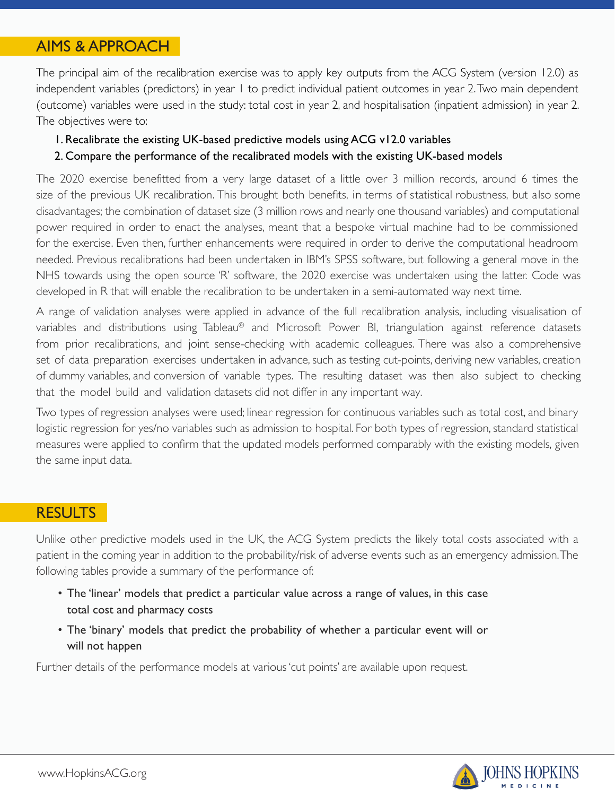## AIMS & APPROACH

The principal aim of the recalibration exercise was to apply key outputs from the ACG System (version 12.0) as independent variables (predictors) in year 1 to predict individual patient outcomes in year 2. Two main dependent (outcome) variables were used in the study: total cost in year 2, and hospitalisation (inpatient admission) in year 2. The objectives were to:

1. Recalibrate the existing UK-based predictive models using ACG v12.0 variables

#### 2. Compare the performance of the recalibrated models with the existing UK-based models

The 2020 exercise benefitted from a very large dataset of a little over 3 million records, around 6 times the size of the previous UK recalibration. This brought both benefits, in terms of statistical robustness, but also some disadvantages; the combination of dataset size (3 million rows and nearly one thousand variables) and computational power required in order to enact the analyses, meant that a bespoke virtual machine had to be commissioned for the exercise. Even then, further enhancements were required in order to derive the computational headroom needed. Previous recalibrations had been undertaken in IBM's SPSS software, but following a general move in the NHS towards using the open source 'R' software, the 2020 exercise was undertaken using the latter. Code was developed in R that will enable the recalibration to be undertaken in a semi-automated way next time.

A range of validation analyses were applied in advance of the full recalibration analysis, including visualisation of variables and distributions using Tableau® and Microsoft Power BI, triangulation against reference datasets from prior recalibrations, and joint sense-checking with academic colleagues. There was also a comprehensive set of data preparation exercises undertaken in advance, such as testing cut-points, deriving new variables, creation of dummy variables, and conversion of variable types. The resulting dataset was then also subject to checking that the model build and validation datasets did not differ in any important way.

Two types of regression analyses were used; linear regression for continuous variables such as total cost, and binary logistic regression for yes/no variables such as admission to hospital. For both types of regression, standard statistical measures were applied to confirm that the updated models performed comparably with the existing models, given the same input data.

#### **RESULTS**

Unlike other predictive models used in the UK, the ACG System predicts the likely total costs associated with a patient in the coming year in addition to the probability/risk of adverse events such as an emergency admission. The following tables provide a summary of the performance of:

- The 'linear' models that predict a particular value across a range of values, in this case total cost and pharmacy costs
- The 'binary' models that predict the probability of whether a particular event will or will not happen

Further details of the performance models at various 'cut points' are available upon request.

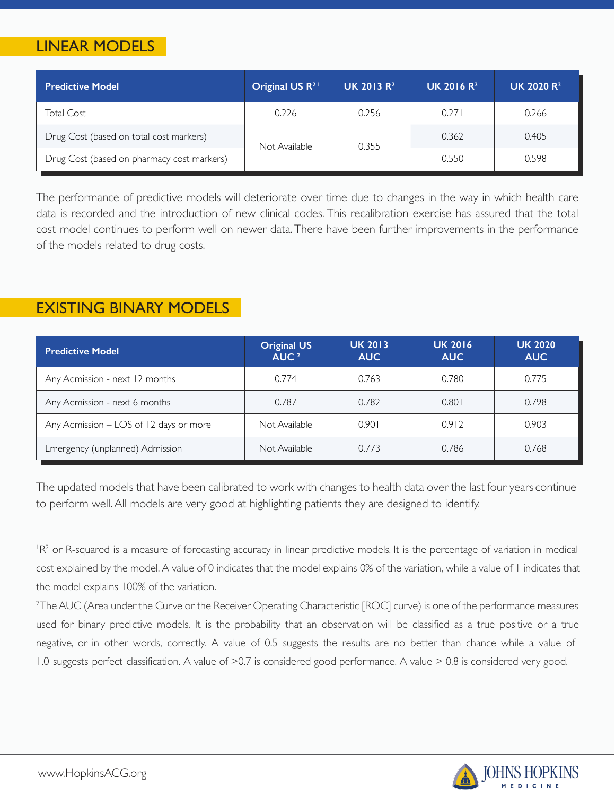## LINEAR MODELS

| <b>Predictive Model</b>                    | Original US $R^{2+}$ | <b>UK 2013 R<sup>2</sup></b> | <b>UK 2016 R<sup>2</sup></b> | <b>UK 2020 R<sup>2</sup></b> |
|--------------------------------------------|----------------------|------------------------------|------------------------------|------------------------------|
| <b>Total Cost</b>                          | 0.226                | 0.256                        | 0.271                        | 0.266                        |
| Drug Cost (based on total cost markers)    | Not Available        | 0.355                        | 0.362                        | 0.405                        |
| Drug Cost (based on pharmacy cost markers) |                      |                              | 0.550                        | 0.598                        |

The performance of predictive models will deteriorate over time due to changes in the way in which health care data is recorded and the introduction of new clinical codes. This recalibration exercise has assured that the total cost model continues to perform well on newer data. There have been further improvements in the performance of the models related to drug costs.

### EXISTING BINARY MODELS

| <b>Predictive Model</b>                | <b>Original US</b><br>AUC <sup>2</sup> | <b>UK 2013</b><br><b>AUC</b> | <b>UK 2016</b><br><b>AUC</b> | <b>UK 2020</b><br><b>AUC</b> |
|----------------------------------------|----------------------------------------|------------------------------|------------------------------|------------------------------|
| Any Admission - next 12 months         | 0.774                                  | 0.763                        | 0.780                        | 0.775                        |
| Any Admission - next 6 months          | 0.787                                  | 0.782                        | 0.801                        | 0.798                        |
| Any Admission - LOS of 12 days or more | Not Available                          | 0.901                        | 0.912                        | 0.903                        |
| Emergency (unplanned) Admission        | Not Available                          | 0.773                        | 0.786                        | 0.768                        |

The updated models that have been calibrated to work with changes to health data over the last four years continue to perform well. All models are very good at highlighting patients they are designed to identify.

<sup>I</sup>R<sup>2</sup> or R-squared is a measure of forecasting accuracy in linear predictive models. It is the percentage of variation in medical cost explained by the model. A value of 0 indicates that the model explains 0% of the variation, while a value of 1 indicates that the model explains 100% of the variation.

<sup>2</sup>The AUC (Area under the Curve or the Receiver Operating Characteristic [ROC] curve) is one of the performance measures used for binary predictive models. It is the probability that an observation will be classified as a true positive or a true negative, or in other words, correctly. A value of 0.5 suggests the results are no better than chance while a value of 1.0 suggests perfect classification. A value of >0.7 is considered good performance. A value > 0.8 is considered very good.